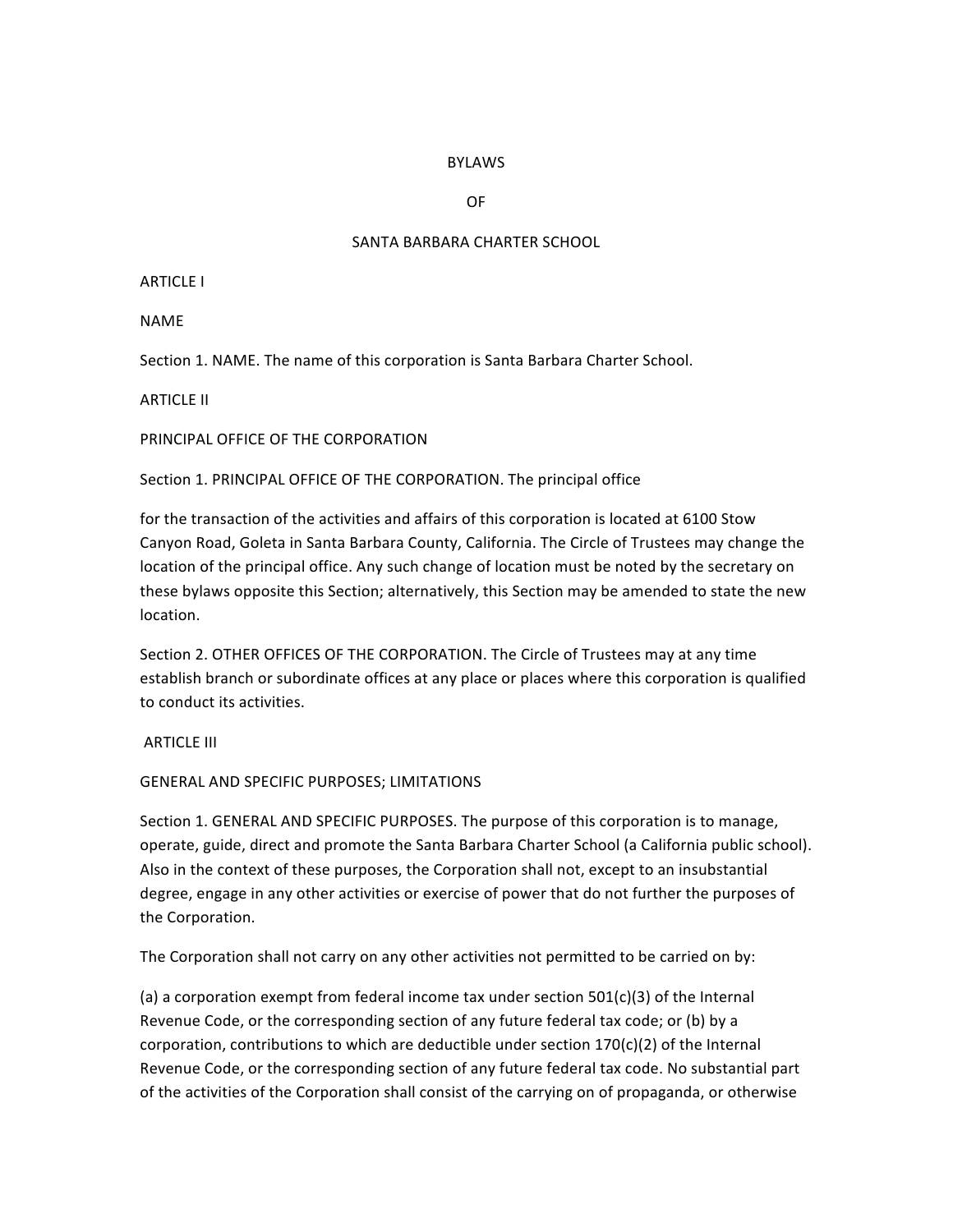### BYLAWS

OF

#### SANTA BARBARA CHARTER SCHOOL

**ARTICLE I** 

NAME

Section 1. NAME. The name of this corporation is Santa Barbara Charter School.

**ARTICLE II** 

PRINCIPAL OFFICE OF THE CORPORATION

Section 1. PRINCIPAL OFFICE OF THE CORPORATION. The principal office

for the transaction of the activities and affairs of this corporation is located at 6100 Stow Canyon Road, Goleta in Santa Barbara County, California. The Circle of Trustees may change the location of the principal office. Any such change of location must be noted by the secretary on these bylaws opposite this Section; alternatively, this Section may be amended to state the new location. 

Section 2. OTHER OFFICES OF THE CORPORATION. The Circle of Trustees may at any time establish branch or subordinate offices at any place or places where this corporation is qualified to conduct its activities.

**ARTICLE III** 

#### GENERAL AND SPECIFIC PURPOSES; LIMITATIONS

Section 1. GENERAL AND SPECIFIC PURPOSES. The purpose of this corporation is to manage, operate, guide, direct and promote the Santa Barbara Charter School (a California public school). Also in the context of these purposes, the Corporation shall not, except to an insubstantial degree, engage in any other activities or exercise of power that do not further the purposes of the Corporation.

The Corporation shall not carry on any other activities not permitted to be carried on by:

(a) a corporation exempt from federal income tax under section  $501(c)(3)$  of the Internal Revenue Code, or the corresponding section of any future federal tax code; or (b) by a corporation, contributions to which are deductible under section  $170(c)(2)$  of the Internal Revenue Code, or the corresponding section of any future federal tax code. No substantial part of the activities of the Corporation shall consist of the carrying on of propaganda, or otherwise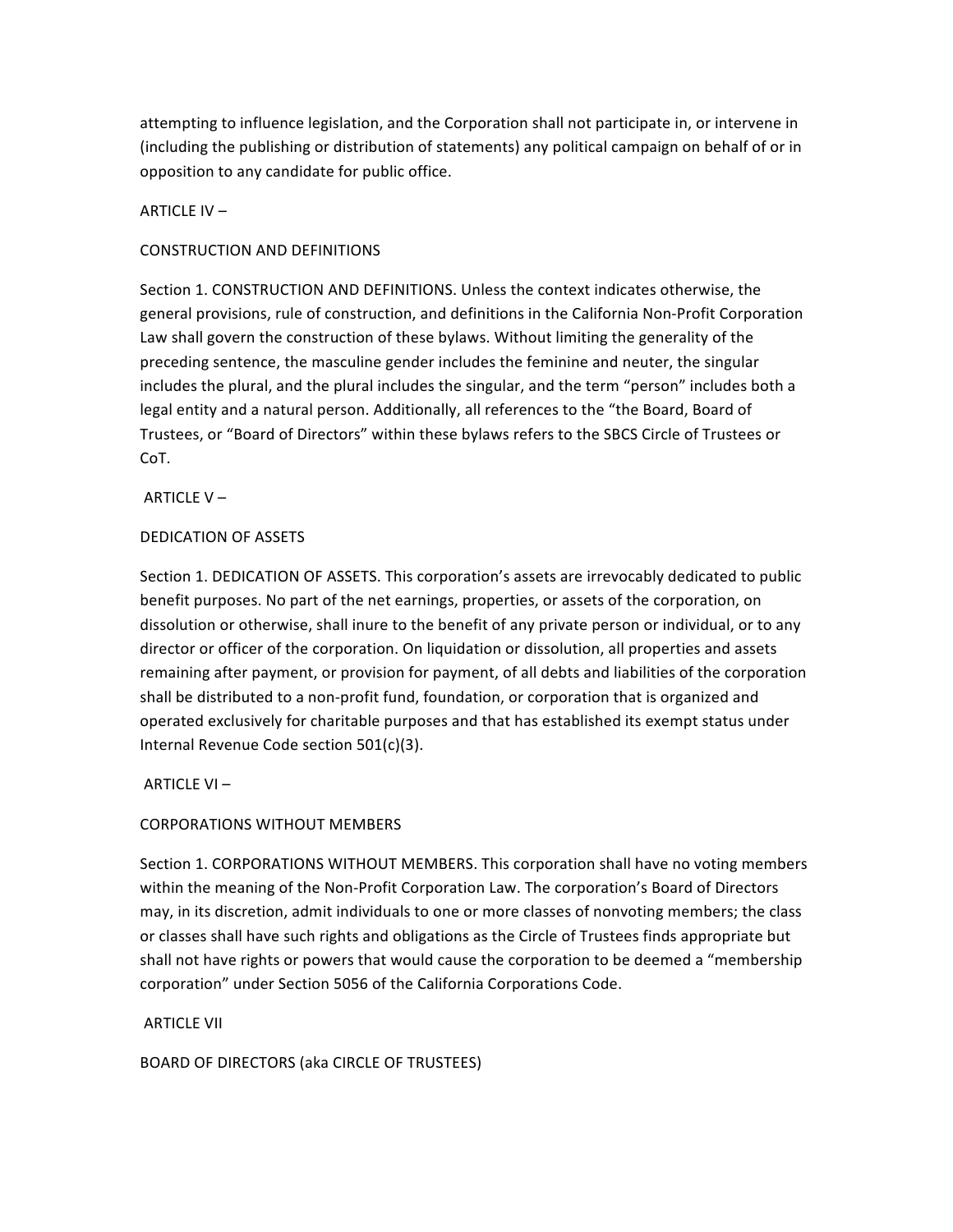attempting to influence legislation, and the Corporation shall not participate in, or intervene in (including the publishing or distribution of statements) any political campaign on behalf of or in opposition to any candidate for public office.

ARTICLE IV  $-$ 

## CONSTRUCTION AND DEFINITIONS

Section 1. CONSTRUCTION AND DEFINITIONS. Unless the context indicates otherwise, the general provisions, rule of construction, and definitions in the California Non-Profit Corporation Law shall govern the construction of these bylaws. Without limiting the generality of the preceding sentence, the masculine gender includes the feminine and neuter, the singular includes the plural, and the plural includes the singular, and the term "person" includes both a legal entity and a natural person. Additionally, all references to the "the Board, Board of Trustees, or "Board of Directors" within these bylaws refers to the SBCS Circle of Trustees or CoT.

ARTICLE  $V -$ 

## DEDICATION OF ASSETS

Section 1. DEDICATION OF ASSETS. This corporation's assets are irrevocably dedicated to public benefit purposes. No part of the net earnings, properties, or assets of the corporation, on dissolution or otherwise, shall inure to the benefit of any private person or individual, or to any director or officer of the corporation. On liquidation or dissolution, all properties and assets remaining after payment, or provision for payment, of all debts and liabilities of the corporation shall be distributed to a non-profit fund, foundation, or corporation that is organized and operated exclusively for charitable purposes and that has established its exempt status under Internal Revenue Code section  $501(c)(3)$ .

ARTICLE  $VI -$ 

## CORPORATIONS WITHOUT MEMBERS

Section 1. CORPORATIONS WITHOUT MEMBERS. This corporation shall have no voting members within the meaning of the Non-Profit Corporation Law. The corporation's Board of Directors may, in its discretion, admit individuals to one or more classes of nonvoting members; the class or classes shall have such rights and obligations as the Circle of Trustees finds appropriate but shall not have rights or powers that would cause the corporation to be deemed a "membership corporation" under Section 5056 of the California Corporations Code.

**ARTICLE VII** 

BOARD OF DIRECTORS (aka CIRCLE OF TRUSTEES)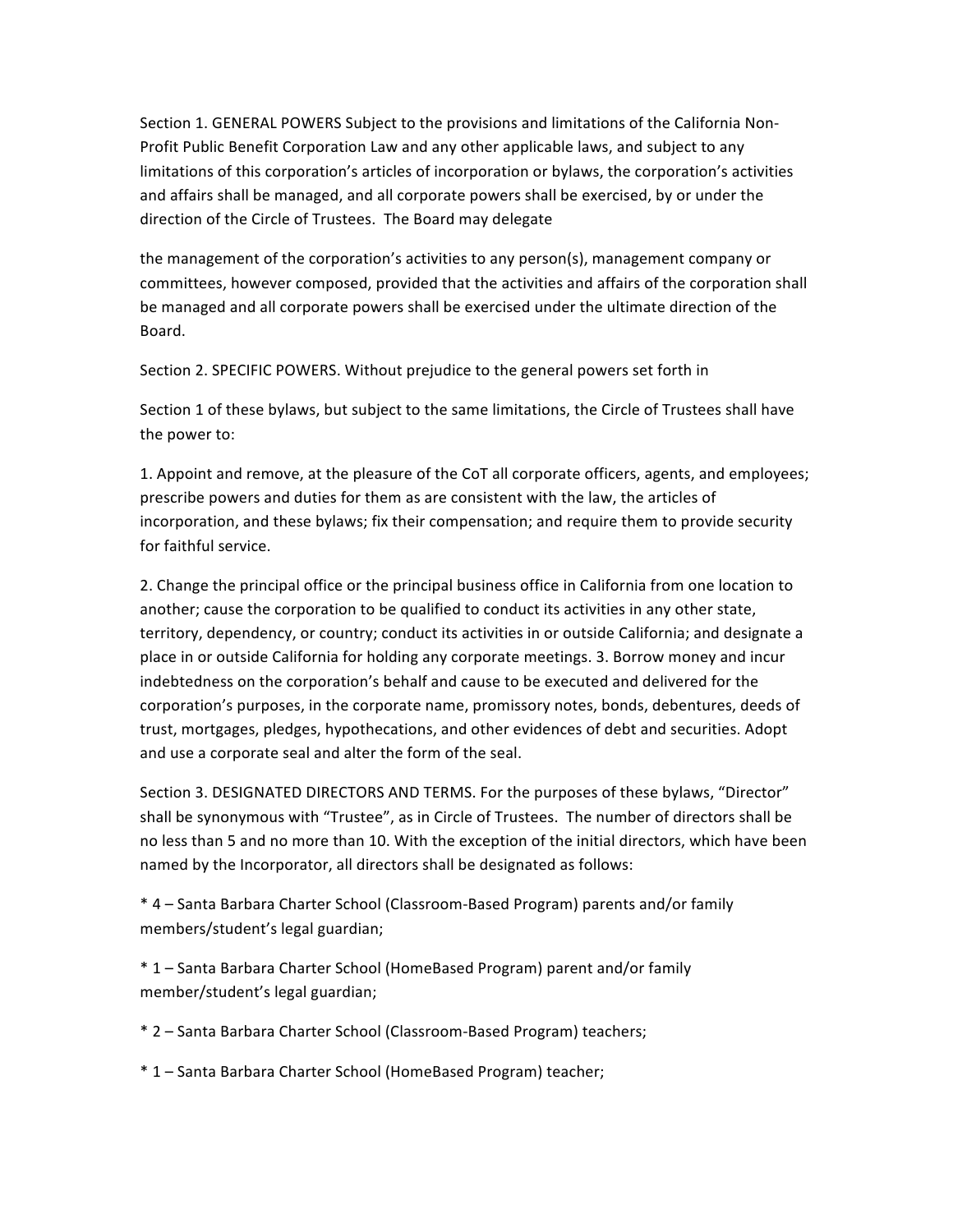Section 1. GENERAL POWERS Subject to the provisions and limitations of the California Non-Profit Public Benefit Corporation Law and any other applicable laws, and subject to any limitations of this corporation's articles of incorporation or bylaws, the corporation's activities and affairs shall be managed, and all corporate powers shall be exercised, by or under the direction of the Circle of Trustees. The Board may delegate

the management of the corporation's activities to any person(s), management company or committees, however composed, provided that the activities and affairs of the corporation shall be managed and all corporate powers shall be exercised under the ultimate direction of the Board. 

Section 2. SPECIFIC POWERS. Without prejudice to the general powers set forth in

Section 1 of these bylaws, but subject to the same limitations, the Circle of Trustees shall have the power to:

1. Appoint and remove, at the pleasure of the CoT all corporate officers, agents, and employees; prescribe powers and duties for them as are consistent with the law, the articles of incorporation, and these bylaws; fix their compensation; and require them to provide security for faithful service.

2. Change the principal office or the principal business office in California from one location to another; cause the corporation to be qualified to conduct its activities in any other state, territory, dependency, or country; conduct its activities in or outside California; and designate a place in or outside California for holding any corporate meetings. 3. Borrow money and incur indebtedness on the corporation's behalf and cause to be executed and delivered for the corporation's purposes, in the corporate name, promissory notes, bonds, debentures, deeds of trust, mortgages, pledges, hypothecations, and other evidences of debt and securities. Adopt and use a corporate seal and alter the form of the seal.

Section 3. DESIGNATED DIRECTORS AND TERMS. For the purposes of these bylaws, "Director" shall be synonymous with "Trustee", as in Circle of Trustees. The number of directors shall be no less than 5 and no more than 10. With the exception of the initial directors, which have been named by the Incorporator, all directors shall be designated as follows:

\* 4 – Santa Barbara Charter School (Classroom-Based Program) parents and/or family members/student's legal guardian;

\* 1 – Santa Barbara Charter School (HomeBased Program) parent and/or family member/student's legal guardian;

\* 2 – Santa Barbara Charter School (Classroom-Based Program) teachers;

\* 1 – Santa Barbara Charter School (HomeBased Program) teacher;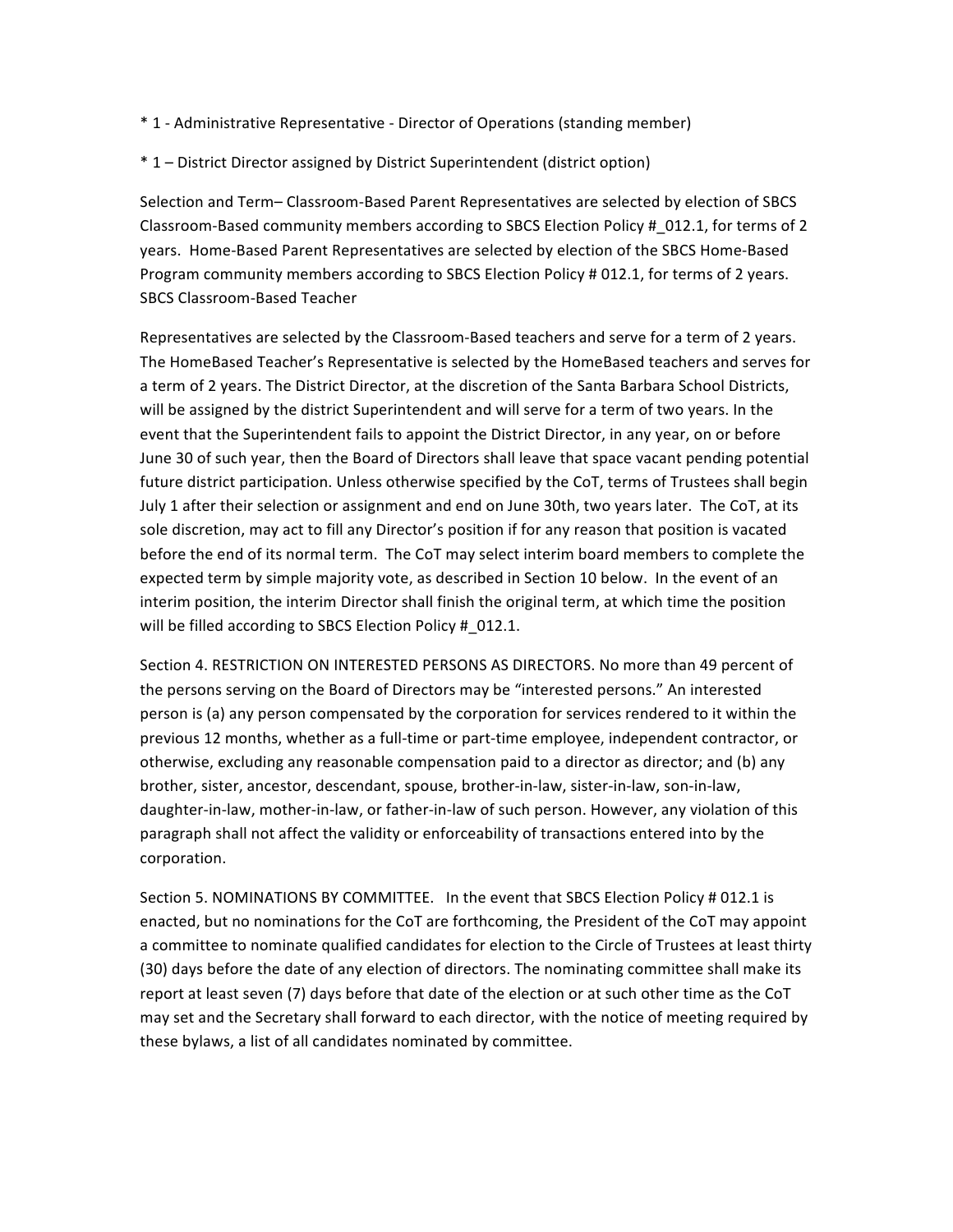- \* 1 - Administrative Representative - Director of Operations (standing member)
- \* 1 – District Director assigned by District Superintendent (district option)

Selection and Term- Classroom-Based Parent Representatives are selected by election of SBCS Classroom-Based community members according to SBCS Election Policy # 012.1, for terms of 2 years. Home-Based Parent Representatives are selected by election of the SBCS Home-Based Program community members according to SBCS Election Policy # 012.1, for terms of 2 years. SBCS Classroom-Based Teacher

Representatives are selected by the Classroom-Based teachers and serve for a term of 2 years. The HomeBased Teacher's Representative is selected by the HomeBased teachers and serves for a term of 2 years. The District Director, at the discretion of the Santa Barbara School Districts, will be assigned by the district Superintendent and will serve for a term of two years. In the event that the Superintendent fails to appoint the District Director, in any year, on or before June 30 of such year, then the Board of Directors shall leave that space vacant pending potential future district participation. Unless otherwise specified by the CoT, terms of Trustees shall begin July 1 after their selection or assignment and end on June 30th, two years later. The CoT, at its sole discretion, may act to fill any Director's position if for any reason that position is vacated before the end of its normal term. The CoT may select interim board members to complete the expected term by simple majority vote, as described in Section 10 below. In the event of an interim position, the interim Director shall finish the original term, at which time the position will be filled according to SBCS Election Policy # 012.1.

Section 4. RESTRICTION ON INTERESTED PERSONS AS DIRECTORS. No more than 49 percent of the persons serving on the Board of Directors may be "interested persons." An interested person is (a) any person compensated by the corporation for services rendered to it within the previous 12 months, whether as a full-time or part-time employee, independent contractor, or otherwise, excluding any reasonable compensation paid to a director as director; and (b) any brother, sister, ancestor, descendant, spouse, brother-in-law, sister-in-law, son-in-law, daughter-in-law, mother-in-law, or father-in-law of such person. However, any violation of this paragraph shall not affect the validity or enforceability of transactions entered into by the corporation. 

Section 5. NOMINATIONS BY COMMITTEE. In the event that SBCS Election Policy # 012.1 is enacted, but no nominations for the CoT are forthcoming, the President of the CoT may appoint a committee to nominate qualified candidates for election to the Circle of Trustees at least thirty (30) days before the date of any election of directors. The nominating committee shall make its report at least seven (7) days before that date of the election or at such other time as the CoT may set and the Secretary shall forward to each director, with the notice of meeting required by these bylaws, a list of all candidates nominated by committee.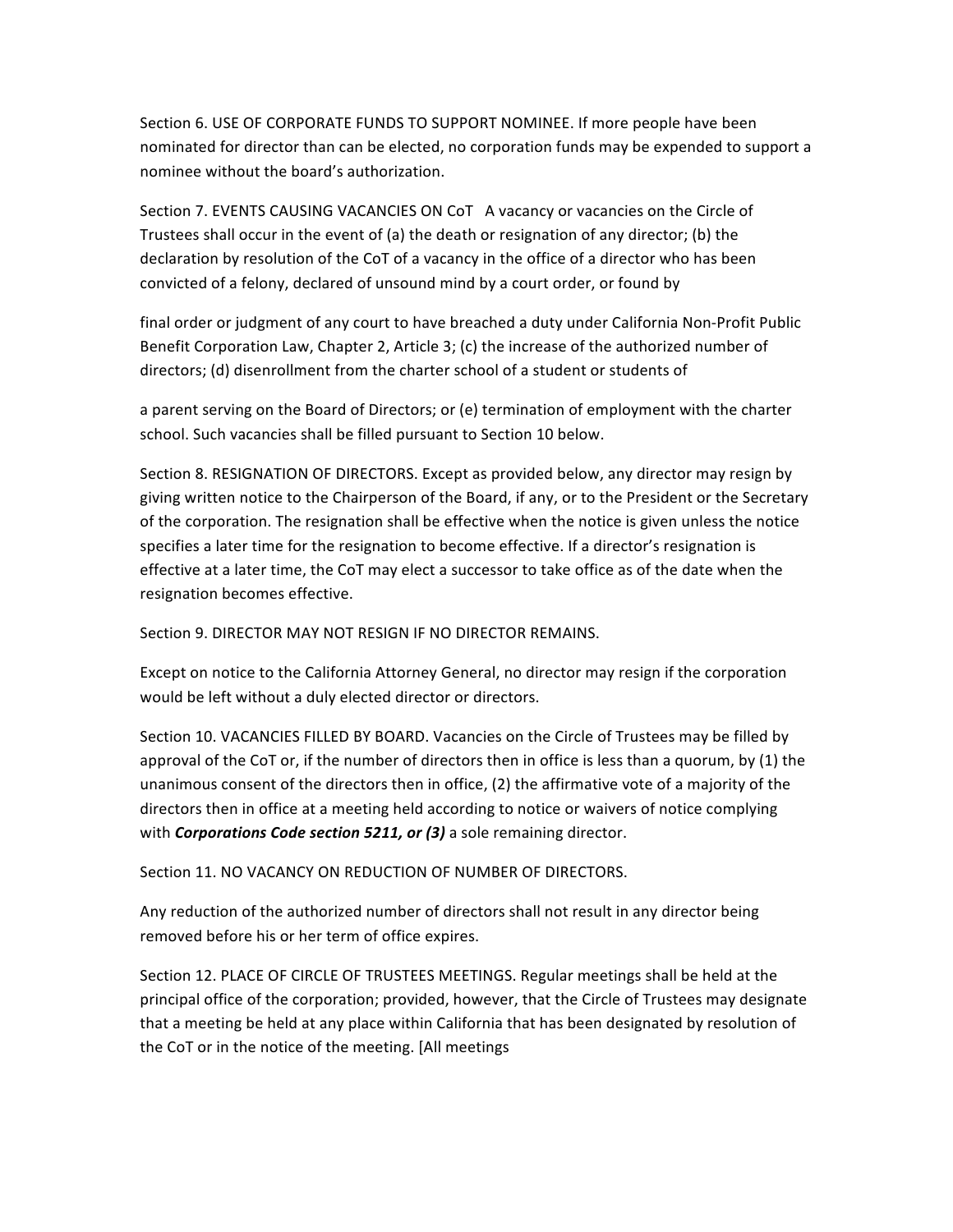Section 6. USE OF CORPORATE FUNDS TO SUPPORT NOMINEE. If more people have been nominated for director than can be elected, no corporation funds may be expended to support a nominee without the board's authorization.

Section 7. EVENTS CAUSING VACANCIES ON CoT A vacancy or vacancies on the Circle of Trustees shall occur in the event of (a) the death or resignation of any director; (b) the declaration by resolution of the CoT of a vacancy in the office of a director who has been convicted of a felony, declared of unsound mind by a court order, or found by

final order or judgment of any court to have breached a duty under California Non-Profit Public Benefit Corporation Law, Chapter 2, Article 3; (c) the increase of the authorized number of directors; (d) disenrollment from the charter school of a student or students of

a parent serving on the Board of Directors; or (e) termination of employment with the charter school. Such vacancies shall be filled pursuant to Section 10 below.

Section 8. RESIGNATION OF DIRECTORS. Except as provided below, any director may resign by giving written notice to the Chairperson of the Board, if any, or to the President or the Secretary of the corporation. The resignation shall be effective when the notice is given unless the notice specifies a later time for the resignation to become effective. If a director's resignation is effective at a later time, the CoT may elect a successor to take office as of the date when the resignation becomes effective.

Section 9. DIRECTOR MAY NOT RESIGN IF NO DIRECTOR REMAINS.

Except on notice to the California Attorney General, no director may resign if the corporation would be left without a duly elected director or directors.

Section 10. VACANCIES FILLED BY BOARD. Vacancies on the Circle of Trustees may be filled by approval of the CoT or, if the number of directors then in office is less than a quorum, by  $(1)$  the unanimous consent of the directors then in office,  $(2)$  the affirmative vote of a majority of the directors then in office at a meeting held according to notice or waivers of notice complying with **Corporations Code section 5211, or (3)** a sole remaining director.

Section 11. NO VACANCY ON REDUCTION OF NUMBER OF DIRECTORS.

Any reduction of the authorized number of directors shall not result in any director being removed before his or her term of office expires.

Section 12. PLACE OF CIRCLE OF TRUSTEES MEETINGS. Regular meetings shall be held at the principal office of the corporation; provided, however, that the Circle of Trustees may designate that a meeting be held at any place within California that has been designated by resolution of the CoT or in the notice of the meeting. [All meetings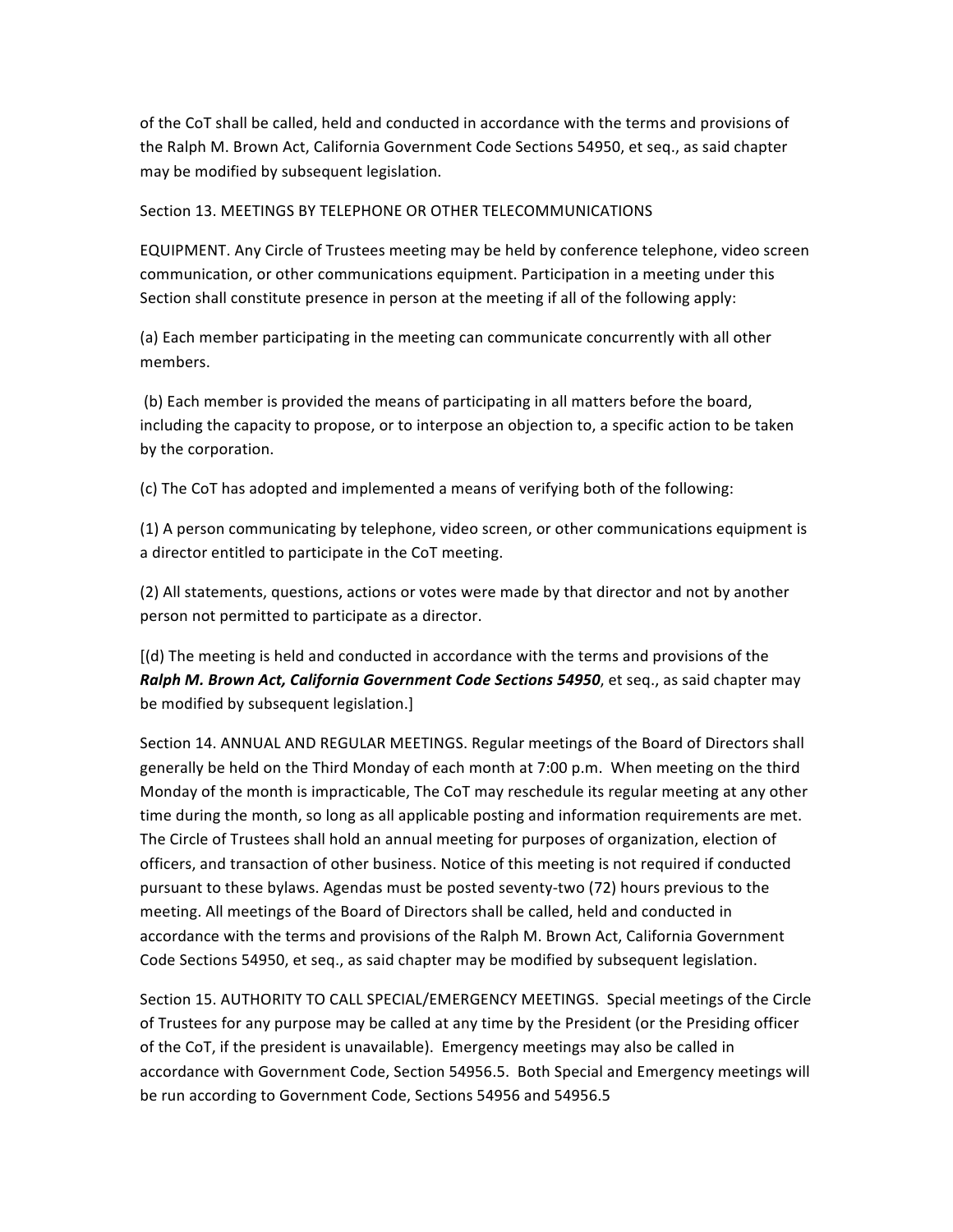of the CoT shall be called, held and conducted in accordance with the terms and provisions of the Ralph M. Brown Act, California Government Code Sections 54950, et seq., as said chapter may be modified by subsequent legislation.

## Section 13. MEETINGS BY TELEPHONE OR OTHER TELECOMMUNICATIONS

EQUIPMENT. Any Circle of Trustees meeting may be held by conference telephone, video screen communication, or other communications equipment. Participation in a meeting under this Section shall constitute presence in person at the meeting if all of the following apply:

(a) Each member participating in the meeting can communicate concurrently with all other members.

(b) Each member is provided the means of participating in all matters before the board, including the capacity to propose, or to interpose an objection to, a specific action to be taken by the corporation.

(c) The CoT has adopted and implemented a means of verifying both of the following:

(1) A person communicating by telephone, video screen, or other communications equipment is a director entitled to participate in the CoT meeting.

(2) All statements, questions, actions or votes were made by that director and not by another person not permitted to participate as a director.

 $\left[\frac{d}{dt}\right]$  The meeting is held and conducted in accordance with the terms and provisions of the **Ralph M. Brown Act, California Government Code Sections 54950**, et seq., as said chapter may be modified by subsequent legislation.]

Section 14. ANNUAL AND REGULAR MEETINGS. Regular meetings of the Board of Directors shall generally be held on the Third Monday of each month at 7:00 p.m. When meeting on the third Monday of the month is impracticable, The CoT may reschedule its regular meeting at any other time during the month, so long as all applicable posting and information requirements are met. The Circle of Trustees shall hold an annual meeting for purposes of organization, election of officers, and transaction of other business. Notice of this meeting is not required if conducted pursuant to these bylaws. Agendas must be posted seventy-two (72) hours previous to the meeting. All meetings of the Board of Directors shall be called, held and conducted in accordance with the terms and provisions of the Ralph M. Brown Act, California Government Code Sections 54950, et seg., as said chapter may be modified by subsequent legislation.

Section 15. AUTHORITY TO CALL SPECIAL/EMERGENCY MEETINGS. Special meetings of the Circle of Trustees for any purpose may be called at any time by the President (or the Presiding officer of the CoT, if the president is unavailable). Emergency meetings may also be called in accordance with Government Code, Section 54956.5. Both Special and Emergency meetings will be run according to Government Code, Sections 54956 and 54956.5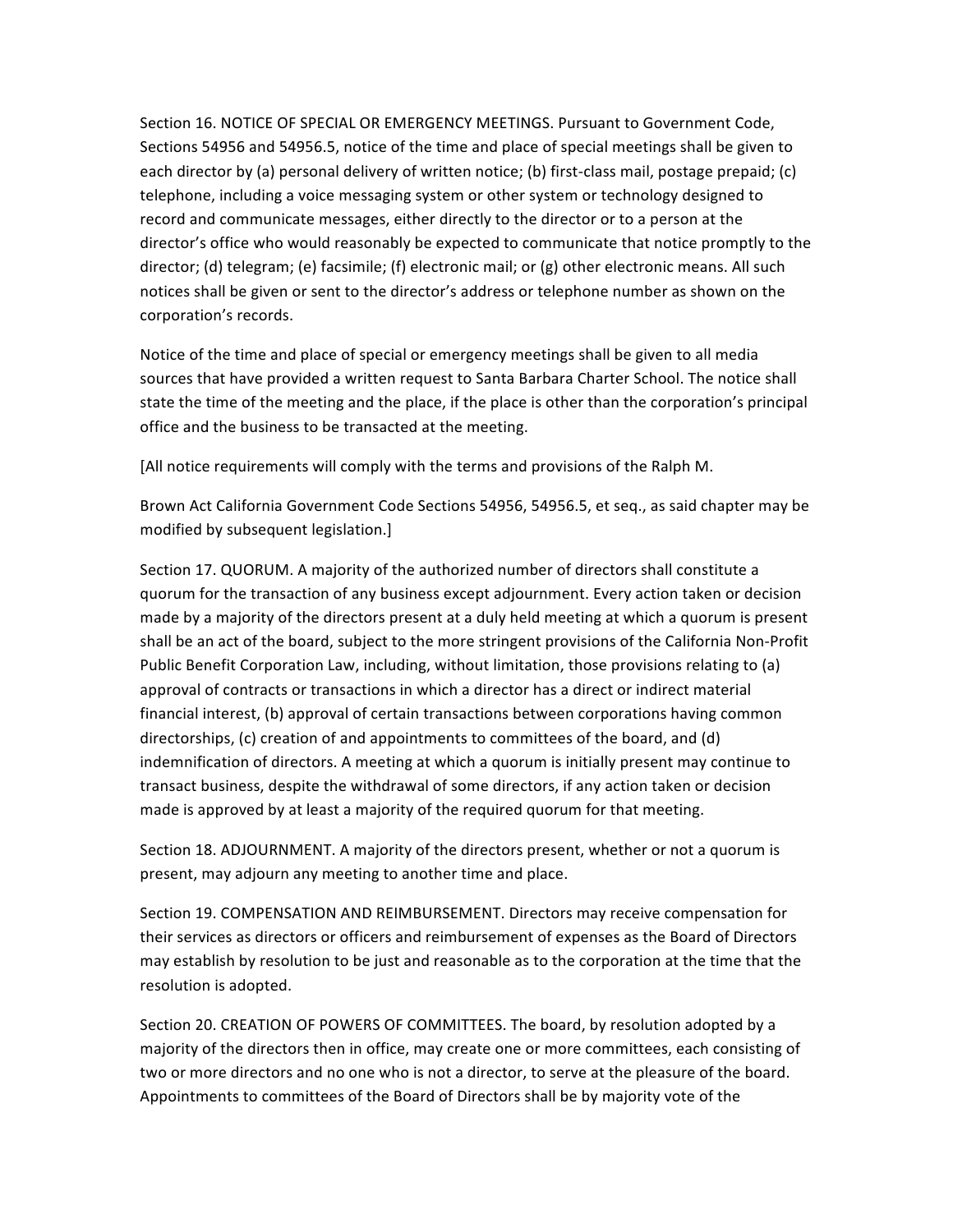Section 16. NOTICE OF SPECIAL OR EMERGENCY MEETINGS. Pursuant to Government Code. Sections 54956 and 54956.5, notice of the time and place of special meetings shall be given to each director by (a) personal delivery of written notice; (b) first-class mail, postage prepaid; (c) telephone, including a voice messaging system or other system or technology designed to record and communicate messages, either directly to the director or to a person at the director's office who would reasonably be expected to communicate that notice promptly to the director; (d) telegram; (e) facsimile; (f) electronic mail; or  $(g)$  other electronic means. All such notices shall be given or sent to the director's address or telephone number as shown on the corporation's records.

Notice of the time and place of special or emergency meetings shall be given to all media sources that have provided a written request to Santa Barbara Charter School. The notice shall state the time of the meeting and the place, if the place is other than the corporation's principal office and the business to be transacted at the meeting.

[All notice requirements will comply with the terms and provisions of the Ralph M.

Brown Act California Government Code Sections 54956, 54956.5, et seq., as said chapter may be modified by subsequent legislation.]

Section 17. QUORUM. A majority of the authorized number of directors shall constitute a quorum for the transaction of any business except adjournment. Every action taken or decision made by a majority of the directors present at a duly held meeting at which a quorum is present shall be an act of the board, subject to the more stringent provisions of the California Non-Profit Public Benefit Corporation Law, including, without limitation, those provisions relating to (a) approval of contracts or transactions in which a director has a direct or indirect material financial interest, (b) approval of certain transactions between corporations having common directorships,  $(c)$  creation of and appointments to committees of the board, and  $(d)$ indemnification of directors. A meeting at which a quorum is initially present may continue to transact business, despite the withdrawal of some directors, if any action taken or decision made is approved by at least a majority of the required quorum for that meeting.

Section 18. ADJOURNMENT. A majority of the directors present, whether or not a quorum is present, may adjourn any meeting to another time and place.

Section 19. COMPENSATION AND REIMBURSEMENT. Directors may receive compensation for their services as directors or officers and reimbursement of expenses as the Board of Directors may establish by resolution to be just and reasonable as to the corporation at the time that the resolution is adopted.

Section 20. CREATION OF POWERS OF COMMITTEES. The board, by resolution adopted by a majority of the directors then in office, may create one or more committees, each consisting of two or more directors and no one who is not a director, to serve at the pleasure of the board. Appointments to committees of the Board of Directors shall be by majority vote of the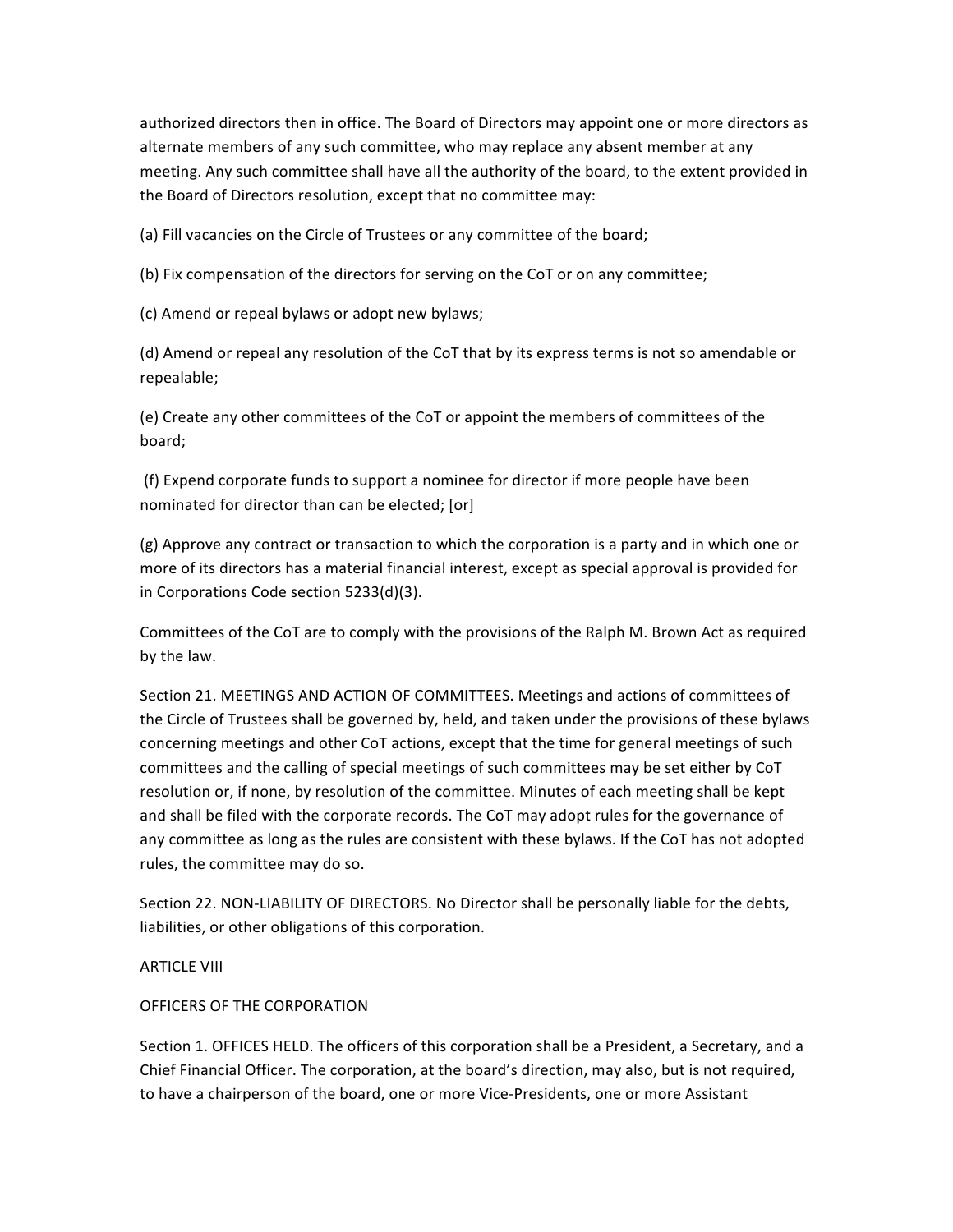authorized directors then in office. The Board of Directors may appoint one or more directors as alternate members of any such committee, who may replace any absent member at any meeting. Any such committee shall have all the authority of the board, to the extent provided in the Board of Directors resolution, except that no committee may:

(a) Fill vacancies on the Circle of Trustees or any committee of the board;

(b) Fix compensation of the directors for serving on the CoT or on any committee;

(c) Amend or repeal bylaws or adopt new bylaws;

(d) Amend or repeal any resolution of the CoT that by its express terms is not so amendable or repealable; 

(e) Create any other committees of the CoT or appoint the members of committees of the board; 

(f) Expend corporate funds to support a nominee for director if more people have been nominated for director than can be elected; [or]

(g) Approve any contract or transaction to which the corporation is a party and in which one or more of its directors has a material financial interest, except as special approval is provided for in Corporations Code section 5233(d)(3).

Committees of the CoT are to comply with the provisions of the Ralph M. Brown Act as required by the law.

Section 21. MEETINGS AND ACTION OF COMMITTEES. Meetings and actions of committees of the Circle of Trustees shall be governed by, held, and taken under the provisions of these bylaws concerning meetings and other CoT actions, except that the time for general meetings of such committees and the calling of special meetings of such committees may be set either by CoT resolution or, if none, by resolution of the committee. Minutes of each meeting shall be kept and shall be filed with the corporate records. The CoT may adopt rules for the governance of any committee as long as the rules are consistent with these bylaws. If the CoT has not adopted rules, the committee may do so.

Section 22. NON-LIABILITY OF DIRECTORS. No Director shall be personally liable for the debts, liabilities, or other obligations of this corporation.

## **ARTICLE VIII**

### OFFICERS OF THE CORPORATION

Section 1. OFFICES HELD. The officers of this corporation shall be a President, a Secretary, and a Chief Financial Officer. The corporation, at the board's direction, may also, but is not required, to have a chairperson of the board, one or more Vice-Presidents, one or more Assistant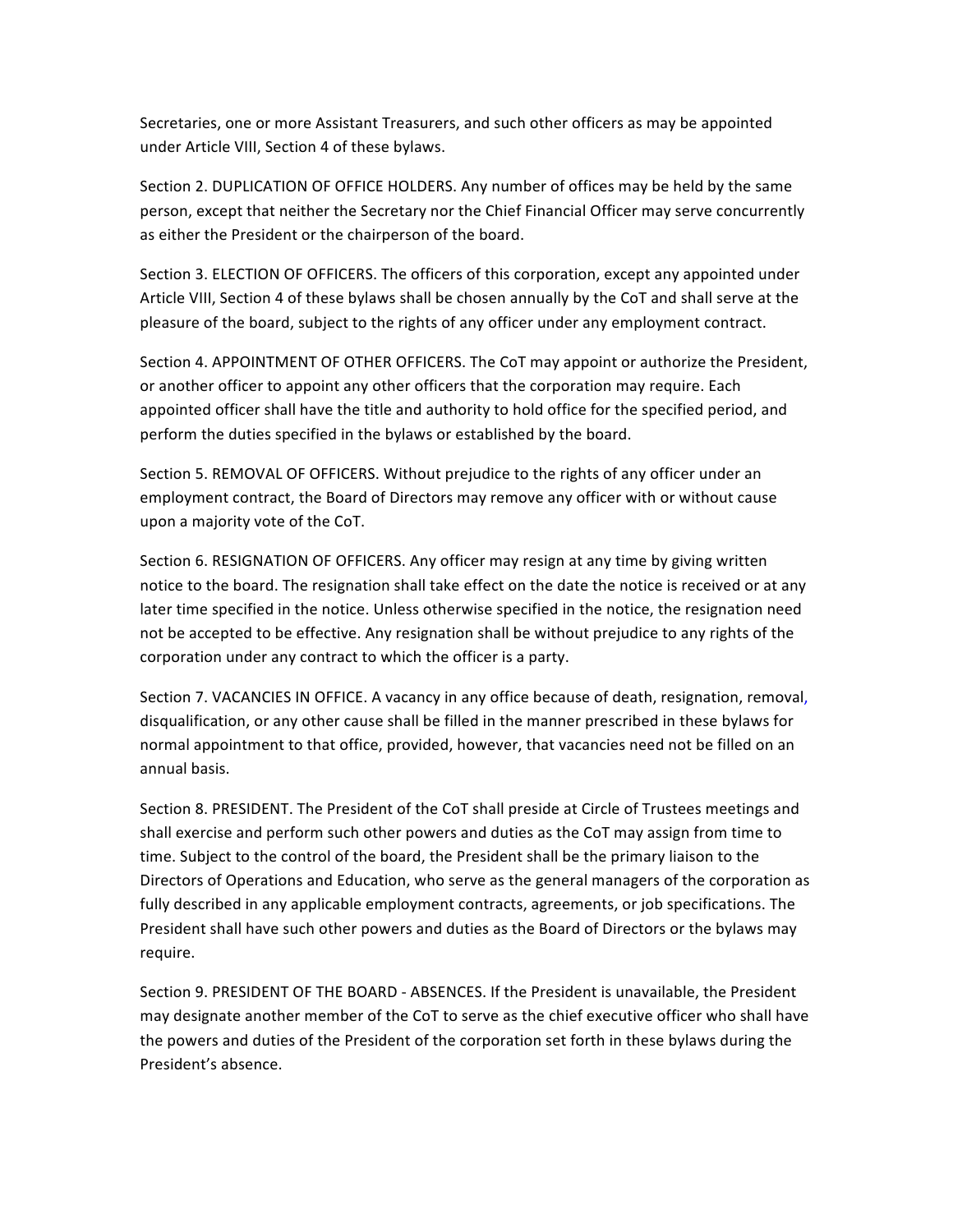Secretaries, one or more Assistant Treasurers, and such other officers as may be appointed under Article VIII, Section 4 of these bylaws.

Section 2. DUPLICATION OF OFFICE HOLDERS. Any number of offices may be held by the same person, except that neither the Secretary nor the Chief Financial Officer may serve concurrently as either the President or the chairperson of the board.

Section 3. ELECTION OF OFFICERS. The officers of this corporation, except any appointed under Article VIII, Section 4 of these bylaws shall be chosen annually by the CoT and shall serve at the pleasure of the board, subject to the rights of any officer under any employment contract.

Section 4. APPOINTMENT OF OTHER OFFICERS. The CoT may appoint or authorize the President, or another officer to appoint any other officers that the corporation may require. Each appointed officer shall have the title and authority to hold office for the specified period, and perform the duties specified in the bylaws or established by the board.

Section 5. REMOVAL OF OFFICERS. Without prejudice to the rights of any officer under an employment contract, the Board of Directors may remove any officer with or without cause upon a majority vote of the CoT.

Section 6. RESIGNATION OF OFFICERS. Any officer may resign at any time by giving written notice to the board. The resignation shall take effect on the date the notice is received or at any later time specified in the notice. Unless otherwise specified in the notice, the resignation need not be accepted to be effective. Any resignation shall be without prejudice to any rights of the corporation under any contract to which the officer is a party.

Section 7. VACANCIES IN OFFICE. A vacancy in any office because of death, resignation, removal, disqualification, or any other cause shall be filled in the manner prescribed in these bylaws for normal appointment to that office, provided, however, that vacancies need not be filled on an annual basis.

Section 8. PRESIDENT. The President of the CoT shall preside at Circle of Trustees meetings and shall exercise and perform such other powers and duties as the CoT may assign from time to time. Subject to the control of the board, the President shall be the primary liaison to the Directors of Operations and Education, who serve as the general managers of the corporation as fully described in any applicable employment contracts, agreements, or job specifications. The President shall have such other powers and duties as the Board of Directors or the bylaws may require.

Section 9. PRESIDENT OF THE BOARD - ABSENCES. If the President is unavailable, the President may designate another member of the CoT to serve as the chief executive officer who shall have the powers and duties of the President of the corporation set forth in these bylaws during the President's absence.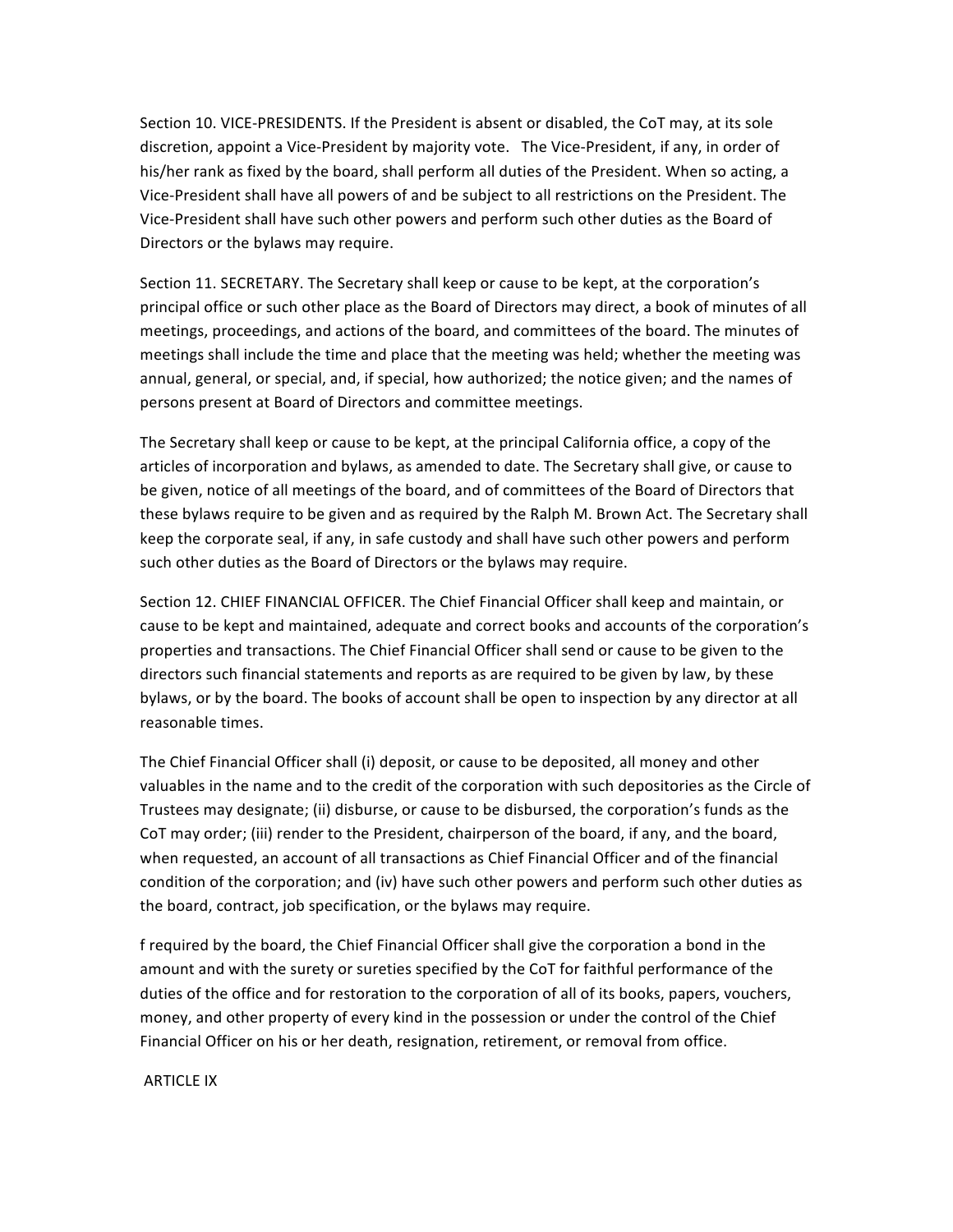Section 10. VICE-PRESIDENTS. If the President is absent or disabled, the CoT may, at its sole discretion, appoint a Vice-President by majority vote. The Vice-President, if any, in order of his/her rank as fixed by the board, shall perform all duties of the President. When so acting, a Vice-President shall have all powers of and be subject to all restrictions on the President. The Vice-President shall have such other powers and perform such other duties as the Board of Directors or the bylaws may require.

Section 11. SECRETARY. The Secretary shall keep or cause to be kept, at the corporation's principal office or such other place as the Board of Directors may direct, a book of minutes of all meetings, proceedings, and actions of the board, and committees of the board. The minutes of meetings shall include the time and place that the meeting was held; whether the meeting was annual, general, or special, and, if special, how authorized; the notice given; and the names of persons present at Board of Directors and committee meetings.

The Secretary shall keep or cause to be kept, at the principal California office, a copy of the articles of incorporation and bylaws, as amended to date. The Secretary shall give, or cause to be given, notice of all meetings of the board, and of committees of the Board of Directors that these bylaws require to be given and as required by the Ralph M. Brown Act. The Secretary shall keep the corporate seal, if any, in safe custody and shall have such other powers and perform such other duties as the Board of Directors or the bylaws may require.

Section 12. CHIEF FINANCIAL OFFICER. The Chief Financial Officer shall keep and maintain, or cause to be kept and maintained, adequate and correct books and accounts of the corporation's properties and transactions. The Chief Financial Officer shall send or cause to be given to the directors such financial statements and reports as are required to be given by law, by these bylaws, or by the board. The books of account shall be open to inspection by any director at all reasonable times.

The Chief Financial Officer shall (i) deposit, or cause to be deposited, all money and other valuables in the name and to the credit of the corporation with such depositories as the Circle of Trustees may designate; (ii) disburse, or cause to be disbursed, the corporation's funds as the CoT may order; (iii) render to the President, chairperson of the board, if any, and the board, when requested, an account of all transactions as Chief Financial Officer and of the financial condition of the corporation; and (iv) have such other powers and perform such other duties as the board, contract, job specification, or the bylaws may require.

f required by the board, the Chief Financial Officer shall give the corporation a bond in the amount and with the surety or sureties specified by the CoT for faithful performance of the duties of the office and for restoration to the corporation of all of its books, papers, vouchers, money, and other property of every kind in the possession or under the control of the Chief Financial Officer on his or her death, resignation, retirement, or removal from office.

**ARTICLE IX**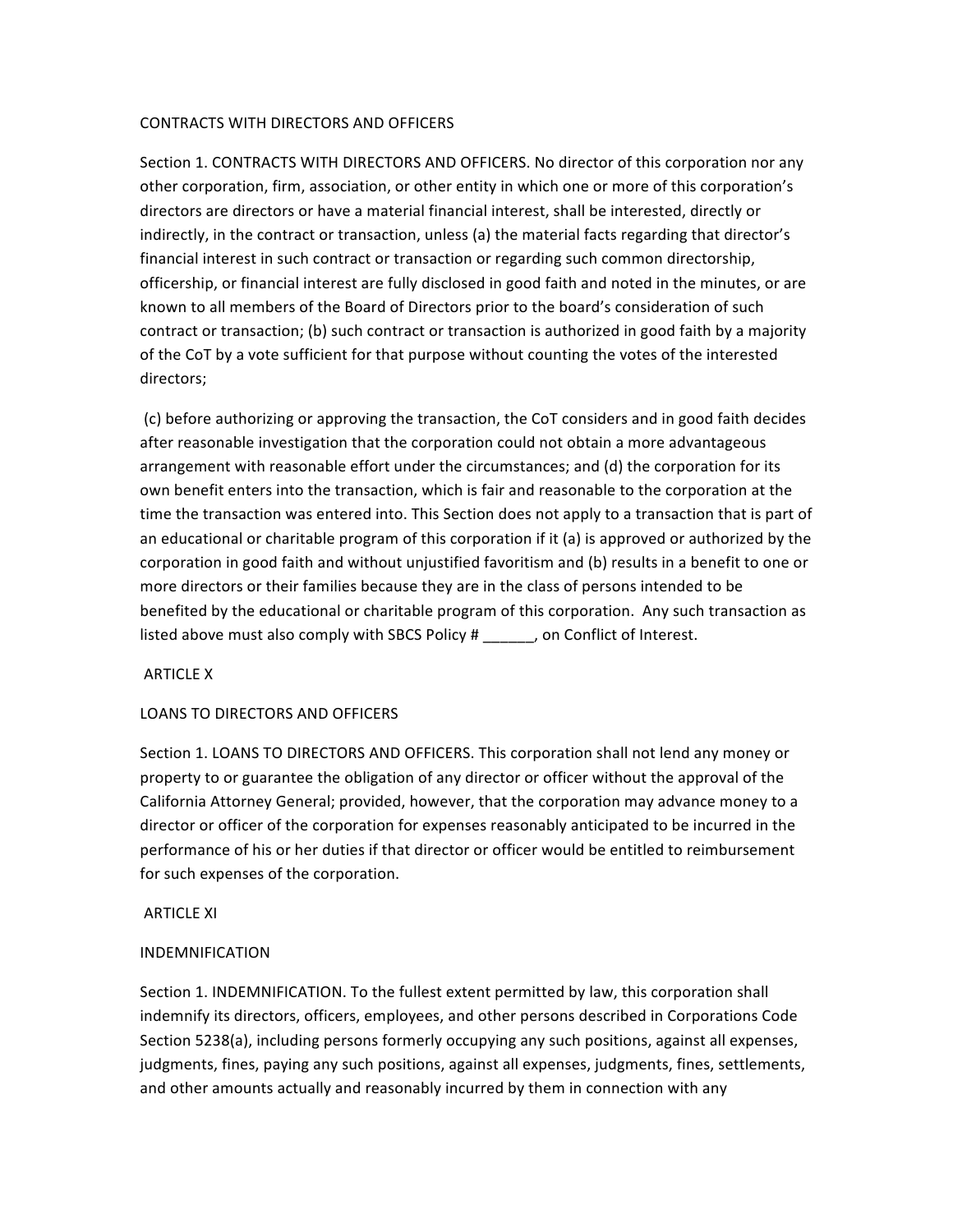### CONTRACTS WITH DIRECTORS AND OFFICERS

Section 1. CONTRACTS WITH DIRECTORS AND OFFICERS. No director of this corporation nor any other corporation, firm, association, or other entity in which one or more of this corporation's directors are directors or have a material financial interest, shall be interested, directly or indirectly, in the contract or transaction, unless (a) the material facts regarding that director's financial interest in such contract or transaction or regarding such common directorship, officership, or financial interest are fully disclosed in good faith and noted in the minutes, or are known to all members of the Board of Directors prior to the board's consideration of such contract or transaction; (b) such contract or transaction is authorized in good faith by a majority of the CoT by a vote sufficient for that purpose without counting the votes of the interested directors; 

(c) before authorizing or approving the transaction, the CoT considers and in good faith decides after reasonable investigation that the corporation could not obtain a more advantageous arrangement with reasonable effort under the circumstances; and (d) the corporation for its own benefit enters into the transaction, which is fair and reasonable to the corporation at the time the transaction was entered into. This Section does not apply to a transaction that is part of an educational or charitable program of this corporation if it (a) is approved or authorized by the corporation in good faith and without unjustified favoritism and (b) results in a benefit to one or more directors or their families because they are in the class of persons intended to be benefited by the educational or charitable program of this corporation. Any such transaction as listed above must also comply with SBCS Policy  $#$ , on Conflict of Interest.

## **ARTICLE X**

## LOANS TO DIRECTORS AND OFFICERS

Section 1. LOANS TO DIRECTORS AND OFFICERS. This corporation shall not lend any money or property to or guarantee the obligation of any director or officer without the approval of the California Attorney General; provided, however, that the corporation may advance money to a director or officer of the corporation for expenses reasonably anticipated to be incurred in the performance of his or her duties if that director or officer would be entitled to reimbursement for such expenses of the corporation.

### **ARTICLE XI**

### INDEMNIFICATION

Section 1. INDEMNIFICATION. To the fullest extent permitted by law, this corporation shall indemnify its directors, officers, employees, and other persons described in Corporations Code Section 5238(a), including persons formerly occupying any such positions, against all expenses, judgments, fines, paying any such positions, against all expenses, judgments, fines, settlements, and other amounts actually and reasonably incurred by them in connection with any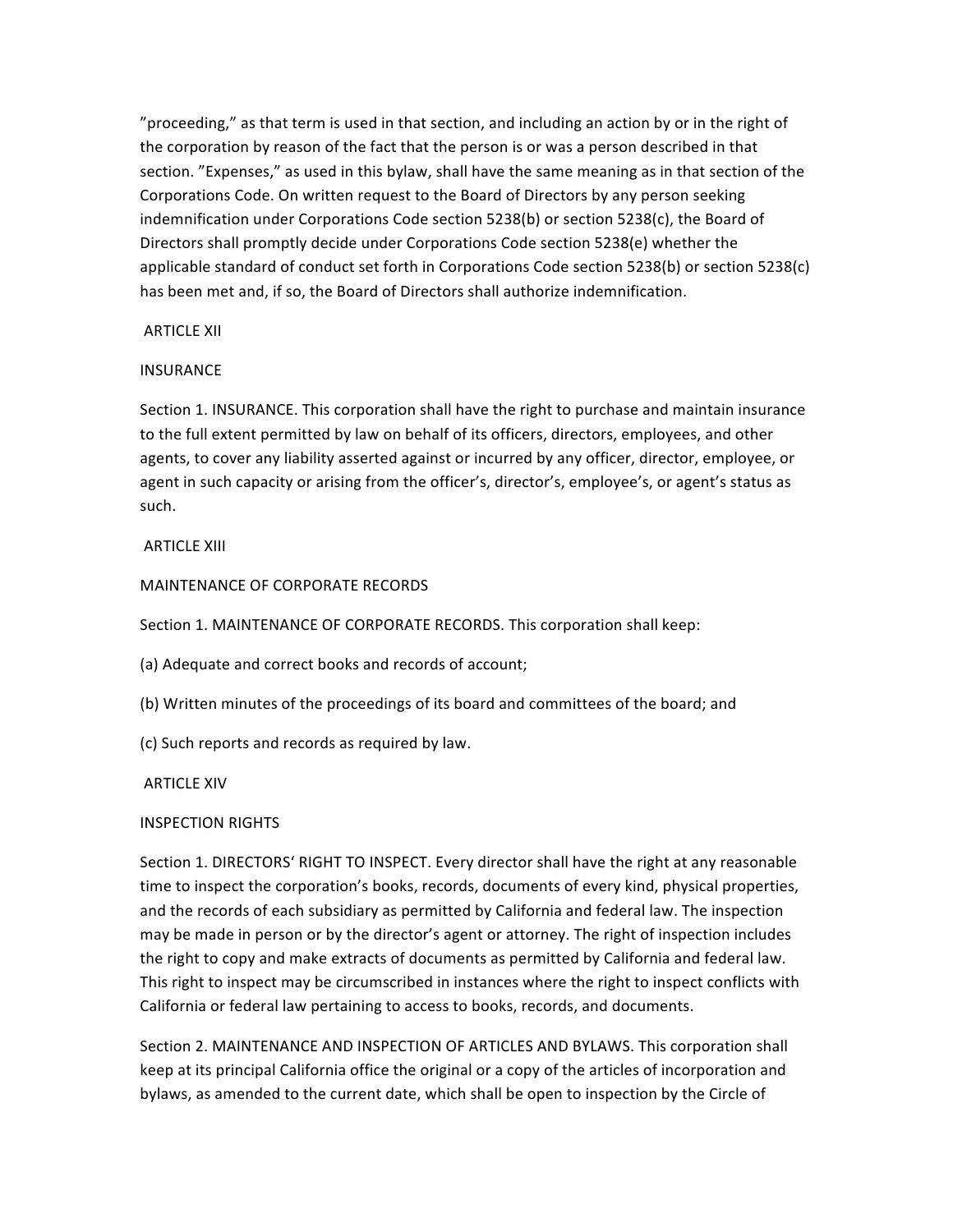"proceeding," as that term is used in that section, and including an action by or in the right of the corporation by reason of the fact that the person is or was a person described in that section. "Expenses," as used in this bylaw, shall have the same meaning as in that section of the Corporations Code. On written request to the Board of Directors by any person seeking indemnification under Corporations Code section 5238(b) or section 5238(c), the Board of Directors shall promptly decide under Corporations Code section 5238(e) whether the applicable standard of conduct set forth in Corporations Code section 5238(b) or section 5238(c) has been met and, if so, the Board of Directors shall authorize indemnification.

### ARTICLE XII

## **INSURANCE**

Section 1. INSURANCE. This corporation shall have the right to purchase and maintain insurance to the full extent permitted by law on behalf of its officers, directors, employees, and other agents, to cover any liability asserted against or incurred by any officer, director, employee, or agent in such capacity or arising from the officer's, director's, employee's, or agent's status as such.

## **ARTICLE XIII**

## MAINTENANCE OF CORPORATE RECORDS

Section 1. MAINTENANCE OF CORPORATE RECORDS. This corporation shall keep:

(a) Adequate and correct books and records of account;

- (b) Written minutes of the proceedings of its board and committees of the board; and
- (c) Such reports and records as required by law.

### **ARTICLE XIV**

## **INSPECTION RIGHTS**

Section 1. DIRECTORS' RIGHT TO INSPECT. Every director shall have the right at any reasonable time to inspect the corporation's books, records, documents of every kind, physical properties, and the records of each subsidiary as permitted by California and federal law. The inspection may be made in person or by the director's agent or attorney. The right of inspection includes the right to copy and make extracts of documents as permitted by California and federal law. This right to inspect may be circumscribed in instances where the right to inspect conflicts with California or federal law pertaining to access to books, records, and documents.

Section 2. MAINTENANCE AND INSPECTION OF ARTICLES AND BYLAWS. This corporation shall keep at its principal California office the original or a copy of the articles of incorporation and bylaws, as amended to the current date, which shall be open to inspection by the Circle of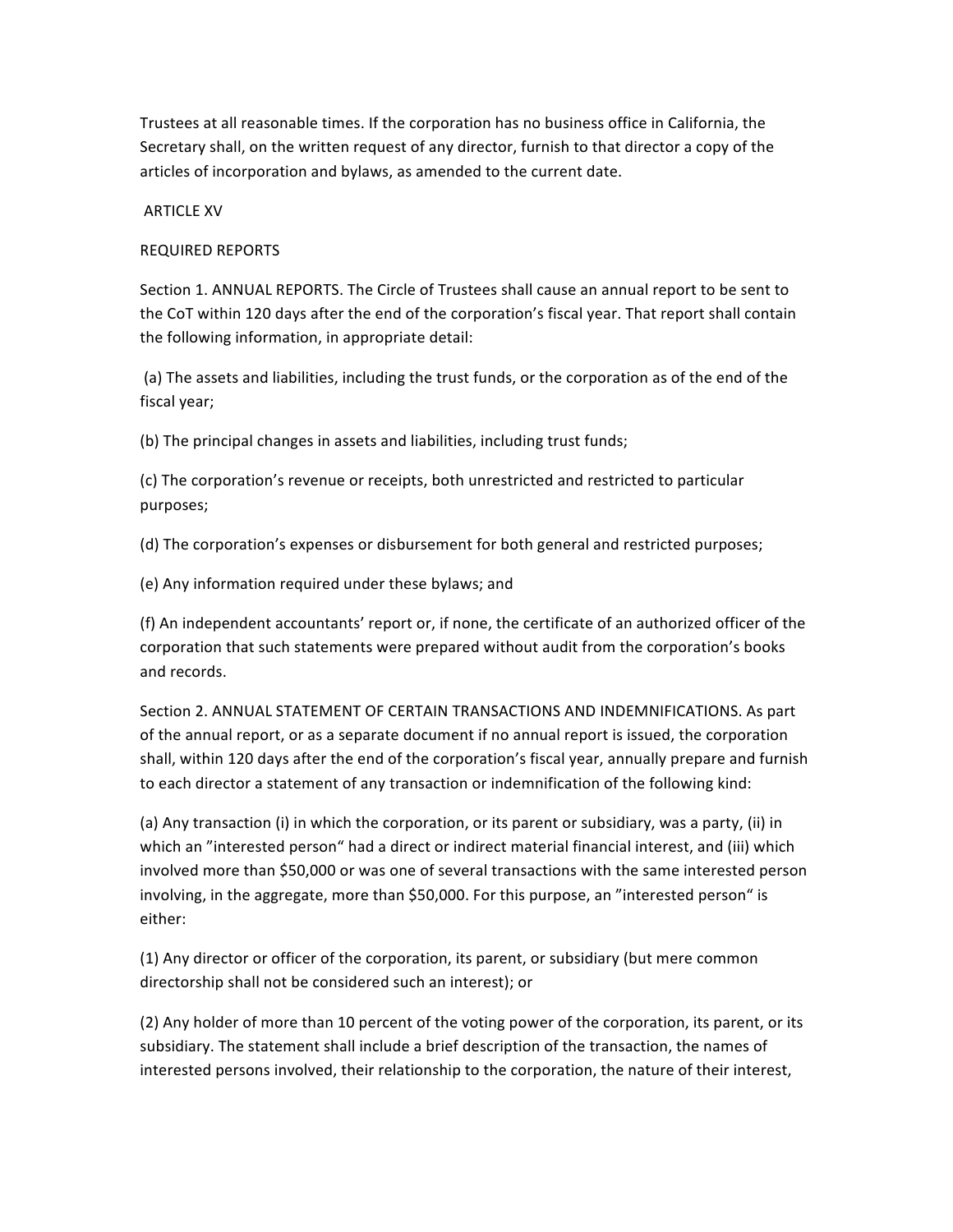Trustees at all reasonable times. If the corporation has no business office in California, the Secretary shall, on the written request of any director, furnish to that director a copy of the articles of incorporation and bylaws, as amended to the current date.

## **ARTICLE XV**

## REQUIRED REPORTS

Section 1. ANNUAL REPORTS. The Circle of Trustees shall cause an annual report to be sent to the CoT within 120 days after the end of the corporation's fiscal year. That report shall contain the following information, in appropriate detail:

(a) The assets and liabilities, including the trust funds, or the corporation as of the end of the fiscal year;

(b) The principal changes in assets and liabilities, including trust funds;

(c) The corporation's revenue or receipts, both unrestricted and restricted to particular purposes; 

(d) The corporation's expenses or disbursement for both general and restricted purposes;

(e) Any information required under these bylaws; and

(f) An independent accountants' report or, if none, the certificate of an authorized officer of the corporation that such statements were prepared without audit from the corporation's books and records.

Section 2. ANNUAL STATEMENT OF CERTAIN TRANSACTIONS AND INDEMNIFICATIONS. As part of the annual report, or as a separate document if no annual report is issued, the corporation shall, within 120 days after the end of the corporation's fiscal year, annually prepare and furnish to each director a statement of any transaction or indemnification of the following kind:

(a) Any transaction (i) in which the corporation, or its parent or subsidiary, was a party, (ii) in which an "interested person" had a direct or indirect material financial interest, and (iii) which involved more than \$50,000 or was one of several transactions with the same interested person involving, in the aggregate, more than \$50,000. For this purpose, an "interested person" is either: 

(1) Any director or officer of the corporation, its parent, or subsidiary (but mere common directorship shall not be considered such an interest); or

(2) Any holder of more than 10 percent of the voting power of the corporation, its parent, or its subsidiary. The statement shall include a brief description of the transaction, the names of interested persons involved, their relationship to the corporation, the nature of their interest,